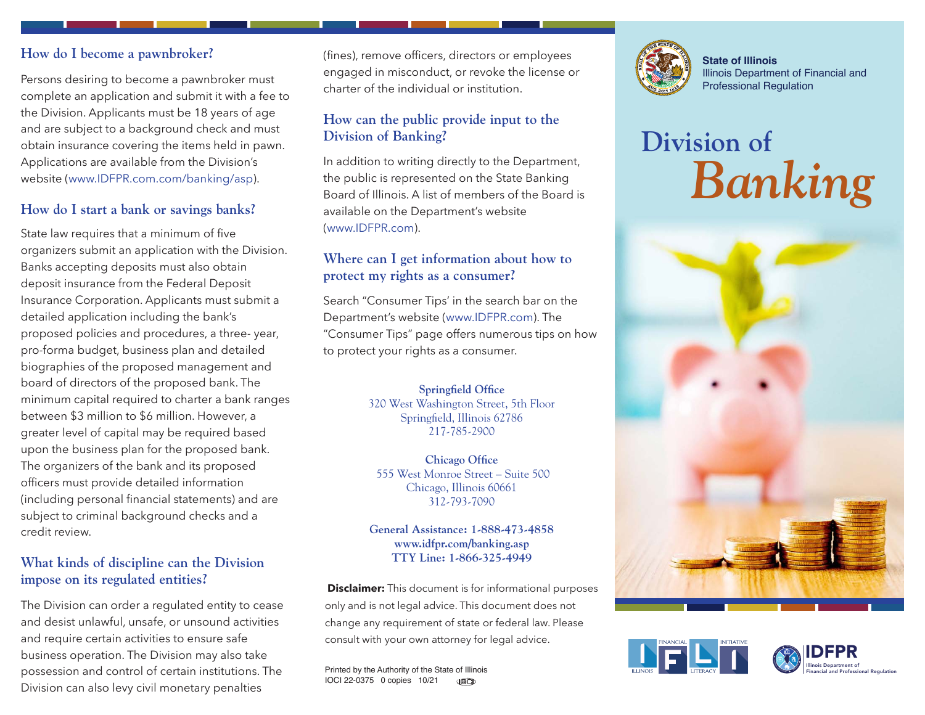#### **How do I become a pawnbroker?**

Persons desiring to become a pawnbroker must complete an application and submit it with a fee to the Division. Applicants must be 18 years of age and are subject to a background check and must obtain insurance covering the items held in pawn. Applications are available from the Division's website [\(www.IDFPR.com.com/banking/asp\)](http://www.IDFPR.com.com/banking/asp).

## **How do I start a bank or savings banks?**

State law requires that a minimum of five organizers submit an application with the Division. Banks accepting deposits must also obtain deposit insurance from the Federal Deposit Insurance Corporation. Applicants must submit a detailed application including the bank's proposed policies and procedures, a three- year, pro-forma budget, business plan and detailed biographies of the proposed management and board of directors of the proposed bank. The minimum capital required to charter a bank ranges between \$3 million to \$6 million. However, a greater level of capital may be required based upon the business plan for the proposed bank. The organizers of the bank and its proposed officers must provide detailed information (including personal financial statements) and are subject to criminal background checks and a credit review.

#### **What kinds of discipline can the Division impose on its regulated entities?**

The Division can order a regulated entity to cease and desist unlawful, unsafe, or unsound activities and require certain activities to ensure safe business operation. The Division may also take possession and control of certain institutions. The Division can also levy civil monetary penalties

(fines), remove officers, directors or employees engaged in misconduct, or revoke the license or charter of the individual or institution.

# **How can the public provide input to the Division of Banking?**

In addition to writing directly to the Department, the public is represented on the State Banking Board of Illinois. A list of members of the Board is available on the Department's website [\(www.IDFPR.com\)](http://www.IDFPR.com).

## **Where can I get information about how to protect my rights as a consumer?**

Search "Consumer Tips' in the search bar on the Department's website [\(www.IDFPR.com\)](http://www.IDFPR.com). The "Consumer Tips" page offers numerous tips on how to protect your rights as a consumer.

> **Springfield Office**  320 West Washington Street, 5th Floor Springfield, Illinois 62786 217-785-2900

**Chicago Office**  555 West Monroe Street – Suite 500 Chicago, Illinois 60661 312-793-7090

**General Assistance: 1-888-473-4858 [www.idfpr.com/banking.asp](http://www.idfpr.com/banking.asp)  TTY Line: 1-866-325-4949**

 **Disclaimer:** This document is for informational purposes only and is not legal advice. This document does not change any requirement of state or federal law. Please consult with your own attorney for legal advice.

Printed by the Authority of the State of Illinois IOCI 22-0375 0 copies 10/21 **J**ac)



**State of Illinois** Illinois Department of Financial and Professional Regulation

# **Division of**